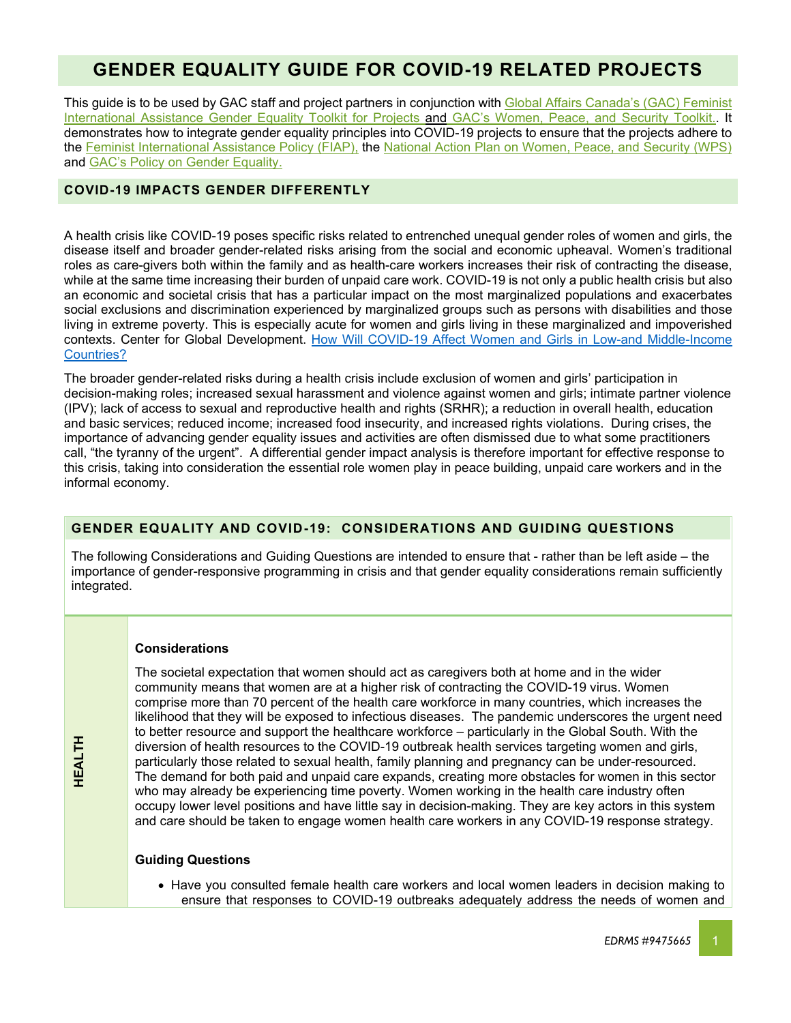# **GENDER EQUALITY GUIDE FOR COVID-19 RELATED PROJECTS**

This guide is to be used by GAC staff and project partners in conjunction with Global Affairs Canada's (GAC) Feminist [International Assistance Gender Equality Toolkit for Projects](http://modus/references/outils-tools/8260818-8108540.aspx?lang=eng) and GAC's Women, Peace, and Security Toolkit.. It demonstrates how to integrate gender equality principles into COVID-19 projects to ensure that the projects adhere to the [Feminist International Assistance Policy \(FIAP\),](https://www.international.gc.ca/world-monde/issues_development-enjeux_developpement/priorities-priorites/policy-politique.aspx?lang=eng) the [National Action Plan on Women, Peace, and Security \(WPS\)](https://www.international.gc.ca/world-monde/issues_development-enjeux_developpement/gender_equality-egalite_des_genres/cnap-pnac-17-22.aspx?lang=eng&_ga=2.93755485.1570259299.1588951244-714220977.1576096808) and [GAC's Policy on Gender Equality.](https://international.gc.ca/world-monde/funding-financement/policy-politique.aspx?lang=eng)

## **COVID-19 IMPACTS GENDER DIFFERENTLY**

A health crisis like COVID-19 poses specific risks related to entrenched unequal gender roles of women and girls, the disease itself and broader gender-related risks arising from the social and economic upheaval. Women's traditional roles as care-givers both within the family and as health-care workers increases their risk of contracting the disease, while at the same time increasing their burden of unpaid care work. COVID-19 is not only a public health crisis but also an economic and societal crisis that has a particular impact on the most marginalized populations and exacerbates social exclusions and discrimination experienced by marginalized groups such as persons with disabilities and those living in extreme poverty. This is especially acute for women and girls living in these marginalized and impoverished contexts. Center for Global Development. [How Will COVID-19 Affect Women and](https://www.cgdev.org/blog/how-will-covid-19-affect-women-and-girls-low-and-middle-income-countries) Girls in Low-and Middle-Income [Countries?](https://www.cgdev.org/blog/how-will-covid-19-affect-women-and-girls-low-and-middle-income-countries)

The broader gender-related risks during a health crisis include exclusion of women and girls' participation in decision-making roles; increased sexual harassment and violence against women and girls; intimate partner violence (IPV); lack of access to sexual and reproductive health and rights (SRHR); a reduction in overall health, education and basic services; reduced income; increased food insecurity, and increased rights violations. During crises, the importance of advancing gender equality issues and activities are often dismissed due to what some practitioners call, "the tyranny of the urgent". A differential gender impact analysis is therefore important for effective response to this crisis, taking into consideration the essential role women play in peace building, unpaid care workers and in the informal economy.

# **GENDER EQUALITY AND COVID-19: CONSIDERATIONS AND GUIDING QUESTIONS**

The following Considerations and Guiding Questions are intended to ensure that - rather than be left aside – the importance of gender-responsive programming in crisis and that gender equality considerations remain sufficiently integrated.

## **Considerations**

The societal expectation that women should act as caregivers both at home and in the wider community means that women are at a higher risk of contracting the COVID-19 virus. Women comprise more than 70 percent of the health care workforce in many countries, which increases the likelihood that they will be exposed to infectious diseases. The pandemic underscores the urgent need to better resource and support the healthcare workforce – particularly in the Global South. With the diversion of health resources to the COVID-19 outbreak health services targeting women and girls, particularly those related to sexual health, family planning and pregnancy can be under-resourced. The demand for both paid and unpaid care expands, creating more obstacles for women in this sector who may already be experiencing time poverty. Women working in the health care industry often occupy lower level positions and have little say in decision-making. They are key actors in this system and care should be taken to engage women health care workers in any COVID-19 response strategy.

## **Guiding Questions**

• Have you consulted female health care workers and local women leaders in decision making to ensure that responses to COVID-19 outbreaks adequately address the needs of women and

**HEALTH**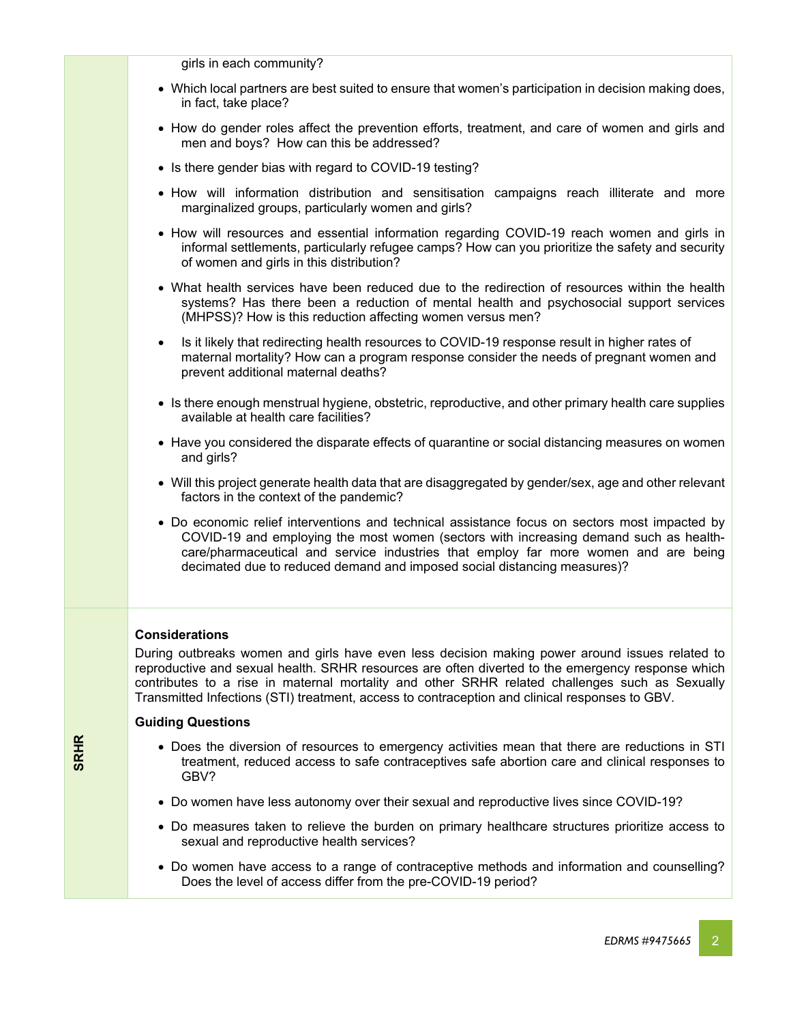| • Which local partners are best suited to ensure that women's participation in decision making does,<br>in fact, take place?<br>• How do gender roles affect the prevention efforts, treatment, and care of women and girls and<br>men and boys? How can this be addressed?<br>• Is there gender bias with regard to COVID-19 testing?<br>. How will information distribution and sensitisation campaigns reach illiterate and more<br>marginalized groups, particularly women and girls?<br>• How will resources and essential information regarding COVID-19 reach women and girls in<br>informal settlements, particularly refugee camps? How can you prioritize the safety and security<br>of women and girls in this distribution?<br>• What health services have been reduced due to the redirection of resources within the health<br>systems? Has there been a reduction of mental health and psychosocial support services<br>(MHPSS)? How is this reduction affecting women versus men?<br>Is it likely that redirecting health resources to COVID-19 response result in higher rates of<br>$\bullet$<br>maternal mortality? How can a program response consider the needs of pregnant women and<br>prevent additional maternal deaths?<br>• Is there enough menstrual hygiene, obstetric, reproductive, and other primary health care supplies<br>available at health care facilities?<br>• Have you considered the disparate effects of quarantine or social distancing measures on women<br>and girls?<br>• Will this project generate health data that are disaggregated by gender/sex, age and other relevant<br>factors in the context of the pandemic?<br>• Do economic relief interventions and technical assistance focus on sectors most impacted by<br>COVID-19 and employing the most women (sectors with increasing demand such as health-<br>care/pharmaceutical and service industries that employ far more women and are being<br>decimated due to reduced demand and imposed social distancing measures)?<br><b>Considerations</b><br>During outbreaks women and girls have even less decision making power around issues related to<br>reproductive and sexual health. SRHR resources are often diverted to the emergency response which<br>contributes to a rise in maternal mortality and other SRHR related challenges such as Sexually<br>Transmitted Infections (STI) treatment, access to contraception and clinical responses to GBV.<br><b>Guiding Questions</b><br>• Does the diversion of resources to emergency activities mean that there are reductions in STI<br>treatment, reduced access to safe contraceptives safe abortion care and clinical responses to<br>GBV?<br>• Do women have less autonomy over their sexual and reproductive lives since COVID-19?<br>• Do measures taken to relieve the burden on primary healthcare structures prioritize access to<br>sexual and reproductive health services?<br>• Do women have access to a range of contraceptive methods and information and counselling?<br>Does the level of access differ from the pre-COVID-19 period? | girls in each community? |
|---------------------------------------------------------------------------------------------------------------------------------------------------------------------------------------------------------------------------------------------------------------------------------------------------------------------------------------------------------------------------------------------------------------------------------------------------------------------------------------------------------------------------------------------------------------------------------------------------------------------------------------------------------------------------------------------------------------------------------------------------------------------------------------------------------------------------------------------------------------------------------------------------------------------------------------------------------------------------------------------------------------------------------------------------------------------------------------------------------------------------------------------------------------------------------------------------------------------------------------------------------------------------------------------------------------------------------------------------------------------------------------------------------------------------------------------------------------------------------------------------------------------------------------------------------------------------------------------------------------------------------------------------------------------------------------------------------------------------------------------------------------------------------------------------------------------------------------------------------------------------------------------------------------------------------------------------------------------------------------------------------------------------------------------------------------------------------------------------------------------------------------------------------------------------------------------------------------------------------------------------------------------------------------------------------------------------------------------------------------------------------------------------------------------------------------------------------------------------------------------------------------------------------------------------------------------------------------------------------------------------------------------------------------------------------------------------------------------------------------------------------------------------------------------------------------------------------------------------------------------------------------------------------------------------------------------------------------------------------------------------------------------------------------------------------------------------------------------------------------------------|--------------------------|
|                                                                                                                                                                                                                                                                                                                                                                                                                                                                                                                                                                                                                                                                                                                                                                                                                                                                                                                                                                                                                                                                                                                                                                                                                                                                                                                                                                                                                                                                                                                                                                                                                                                                                                                                                                                                                                                                                                                                                                                                                                                                                                                                                                                                                                                                                                                                                                                                                                                                                                                                                                                                                                                                                                                                                                                                                                                                                                                                                                                                                                                                                                                           |                          |
|                                                                                                                                                                                                                                                                                                                                                                                                                                                                                                                                                                                                                                                                                                                                                                                                                                                                                                                                                                                                                                                                                                                                                                                                                                                                                                                                                                                                                                                                                                                                                                                                                                                                                                                                                                                                                                                                                                                                                                                                                                                                                                                                                                                                                                                                                                                                                                                                                                                                                                                                                                                                                                                                                                                                                                                                                                                                                                                                                                                                                                                                                                                           |                          |
|                                                                                                                                                                                                                                                                                                                                                                                                                                                                                                                                                                                                                                                                                                                                                                                                                                                                                                                                                                                                                                                                                                                                                                                                                                                                                                                                                                                                                                                                                                                                                                                                                                                                                                                                                                                                                                                                                                                                                                                                                                                                                                                                                                                                                                                                                                                                                                                                                                                                                                                                                                                                                                                                                                                                                                                                                                                                                                                                                                                                                                                                                                                           |                          |
|                                                                                                                                                                                                                                                                                                                                                                                                                                                                                                                                                                                                                                                                                                                                                                                                                                                                                                                                                                                                                                                                                                                                                                                                                                                                                                                                                                                                                                                                                                                                                                                                                                                                                                                                                                                                                                                                                                                                                                                                                                                                                                                                                                                                                                                                                                                                                                                                                                                                                                                                                                                                                                                                                                                                                                                                                                                                                                                                                                                                                                                                                                                           |                          |
|                                                                                                                                                                                                                                                                                                                                                                                                                                                                                                                                                                                                                                                                                                                                                                                                                                                                                                                                                                                                                                                                                                                                                                                                                                                                                                                                                                                                                                                                                                                                                                                                                                                                                                                                                                                                                                                                                                                                                                                                                                                                                                                                                                                                                                                                                                                                                                                                                                                                                                                                                                                                                                                                                                                                                                                                                                                                                                                                                                                                                                                                                                                           |                          |
|                                                                                                                                                                                                                                                                                                                                                                                                                                                                                                                                                                                                                                                                                                                                                                                                                                                                                                                                                                                                                                                                                                                                                                                                                                                                                                                                                                                                                                                                                                                                                                                                                                                                                                                                                                                                                                                                                                                                                                                                                                                                                                                                                                                                                                                                                                                                                                                                                                                                                                                                                                                                                                                                                                                                                                                                                                                                                                                                                                                                                                                                                                                           |                          |
|                                                                                                                                                                                                                                                                                                                                                                                                                                                                                                                                                                                                                                                                                                                                                                                                                                                                                                                                                                                                                                                                                                                                                                                                                                                                                                                                                                                                                                                                                                                                                                                                                                                                                                                                                                                                                                                                                                                                                                                                                                                                                                                                                                                                                                                                                                                                                                                                                                                                                                                                                                                                                                                                                                                                                                                                                                                                                                                                                                                                                                                                                                                           |                          |
|                                                                                                                                                                                                                                                                                                                                                                                                                                                                                                                                                                                                                                                                                                                                                                                                                                                                                                                                                                                                                                                                                                                                                                                                                                                                                                                                                                                                                                                                                                                                                                                                                                                                                                                                                                                                                                                                                                                                                                                                                                                                                                                                                                                                                                                                                                                                                                                                                                                                                                                                                                                                                                                                                                                                                                                                                                                                                                                                                                                                                                                                                                                           |                          |
|                                                                                                                                                                                                                                                                                                                                                                                                                                                                                                                                                                                                                                                                                                                                                                                                                                                                                                                                                                                                                                                                                                                                                                                                                                                                                                                                                                                                                                                                                                                                                                                                                                                                                                                                                                                                                                                                                                                                                                                                                                                                                                                                                                                                                                                                                                                                                                                                                                                                                                                                                                                                                                                                                                                                                                                                                                                                                                                                                                                                                                                                                                                           |                          |
|                                                                                                                                                                                                                                                                                                                                                                                                                                                                                                                                                                                                                                                                                                                                                                                                                                                                                                                                                                                                                                                                                                                                                                                                                                                                                                                                                                                                                                                                                                                                                                                                                                                                                                                                                                                                                                                                                                                                                                                                                                                                                                                                                                                                                                                                                                                                                                                                                                                                                                                                                                                                                                                                                                                                                                                                                                                                                                                                                                                                                                                                                                                           |                          |
|                                                                                                                                                                                                                                                                                                                                                                                                                                                                                                                                                                                                                                                                                                                                                                                                                                                                                                                                                                                                                                                                                                                                                                                                                                                                                                                                                                                                                                                                                                                                                                                                                                                                                                                                                                                                                                                                                                                                                                                                                                                                                                                                                                                                                                                                                                                                                                                                                                                                                                                                                                                                                                                                                                                                                                                                                                                                                                                                                                                                                                                                                                                           |                          |
|                                                                                                                                                                                                                                                                                                                                                                                                                                                                                                                                                                                                                                                                                                                                                                                                                                                                                                                                                                                                                                                                                                                                                                                                                                                                                                                                                                                                                                                                                                                                                                                                                                                                                                                                                                                                                                                                                                                                                                                                                                                                                                                                                                                                                                                                                                                                                                                                                                                                                                                                                                                                                                                                                                                                                                                                                                                                                                                                                                                                                                                                                                                           |                          |
|                                                                                                                                                                                                                                                                                                                                                                                                                                                                                                                                                                                                                                                                                                                                                                                                                                                                                                                                                                                                                                                                                                                                                                                                                                                                                                                                                                                                                                                                                                                                                                                                                                                                                                                                                                                                                                                                                                                                                                                                                                                                                                                                                                                                                                                                                                                                                                                                                                                                                                                                                                                                                                                                                                                                                                                                                                                                                                                                                                                                                                                                                                                           |                          |
|                                                                                                                                                                                                                                                                                                                                                                                                                                                                                                                                                                                                                                                                                                                                                                                                                                                                                                                                                                                                                                                                                                                                                                                                                                                                                                                                                                                                                                                                                                                                                                                                                                                                                                                                                                                                                                                                                                                                                                                                                                                                                                                                                                                                                                                                                                                                                                                                                                                                                                                                                                                                                                                                                                                                                                                                                                                                                                                                                                                                                                                                                                                           |                          |
|                                                                                                                                                                                                                                                                                                                                                                                                                                                                                                                                                                                                                                                                                                                                                                                                                                                                                                                                                                                                                                                                                                                                                                                                                                                                                                                                                                                                                                                                                                                                                                                                                                                                                                                                                                                                                                                                                                                                                                                                                                                                                                                                                                                                                                                                                                                                                                                                                                                                                                                                                                                                                                                                                                                                                                                                                                                                                                                                                                                                                                                                                                                           |                          |
|                                                                                                                                                                                                                                                                                                                                                                                                                                                                                                                                                                                                                                                                                                                                                                                                                                                                                                                                                                                                                                                                                                                                                                                                                                                                                                                                                                                                                                                                                                                                                                                                                                                                                                                                                                                                                                                                                                                                                                                                                                                                                                                                                                                                                                                                                                                                                                                                                                                                                                                                                                                                                                                                                                                                                                                                                                                                                                                                                                                                                                                                                                                           |                          |
|                                                                                                                                                                                                                                                                                                                                                                                                                                                                                                                                                                                                                                                                                                                                                                                                                                                                                                                                                                                                                                                                                                                                                                                                                                                                                                                                                                                                                                                                                                                                                                                                                                                                                                                                                                                                                                                                                                                                                                                                                                                                                                                                                                                                                                                                                                                                                                                                                                                                                                                                                                                                                                                                                                                                                                                                                                                                                                                                                                                                                                                                                                                           |                          |
|                                                                                                                                                                                                                                                                                                                                                                                                                                                                                                                                                                                                                                                                                                                                                                                                                                                                                                                                                                                                                                                                                                                                                                                                                                                                                                                                                                                                                                                                                                                                                                                                                                                                                                                                                                                                                                                                                                                                                                                                                                                                                                                                                                                                                                                                                                                                                                                                                                                                                                                                                                                                                                                                                                                                                                                                                                                                                                                                                                                                                                                                                                                           |                          |
|                                                                                                                                                                                                                                                                                                                                                                                                                                                                                                                                                                                                                                                                                                                                                                                                                                                                                                                                                                                                                                                                                                                                                                                                                                                                                                                                                                                                                                                                                                                                                                                                                                                                                                                                                                                                                                                                                                                                                                                                                                                                                                                                                                                                                                                                                                                                                                                                                                                                                                                                                                                                                                                                                                                                                                                                                                                                                                                                                                                                                                                                                                                           |                          |

**SRHR**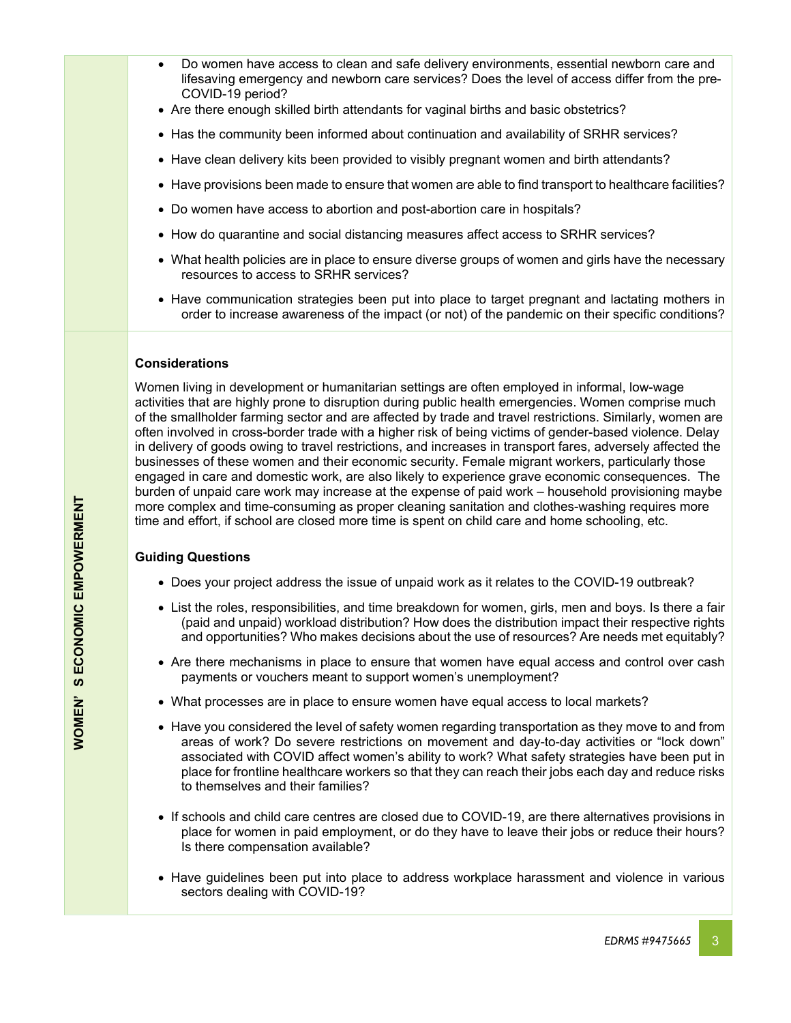- Do women have access to clean and safe delivery environments, essential newborn care and lifesaving emergency and newborn care services? Does the level of access differ from the pre-COVID-19 period?
- Are there enough skilled birth attendants for vaginal births and basic obstetrics?
- Has the community been informed about continuation and availability of SRHR services?
- Have clean delivery kits been provided to visibly pregnant women and birth attendants?
- Have provisions been made to ensure that women are able to find transport to healthcare facilities?
- Do women have access to abortion and post-abortion care in hospitals?
- How do quarantine and social distancing measures affect access to SRHR services?
- What health policies are in place to ensure diverse groups of women and girls have the necessary resources to access to SRHR services?
- Have communication strategies been put into place to target pregnant and lactating mothers in order to increase awareness of the impact (or not) of the pandemic on their specific conditions?

## **Considerations**

Women living in development or humanitarian settings are often employed in informal, low-wage activities that are highly prone to disruption during public health emergencies. Women comprise much of the smallholder farming sector and are affected by trade and travel restrictions. Similarly, women are often involved in cross-border trade with a higher risk of being victims of gender-based violence. Delay in delivery of goods owing to travel restrictions, and increases in transport fares, adversely affected the businesses of these women and their economic security. Female migrant workers, particularly those engaged in care and domestic work, are also likely to experience grave economic consequences. The burden of unpaid care work may increase at the expense of paid work – household provisioning maybe more complex and time-consuming as proper cleaning sanitation and clothes-washing requires more time and effort, if school are closed more time is spent on child care and home schooling, etc.

## **Guiding Questions**

- Does your project address the issue of unpaid work as it relates to the COVID-19 outbreak?
- List the roles, responsibilities, and time breakdown for women, girls, men and boys. Is there a fair (paid and unpaid) workload distribution? How does the distribution impact their respective rights and opportunities? Who makes decisions about the use of resources? Are needs met equitably?
- Are there mechanisms in place to ensure that women have equal access and control over cash payments or vouchers meant to support women's unemployment?
- What processes are in place to ensure women have equal access to local markets?
- Have you considered the level of safety women regarding transportation as they move to and from areas of work? Do severe restrictions on movement and day-to-day activities or "lock down" associated with COVID affect women's ability to work? What safety strategies have been put in place for frontline healthcare workers so that they can reach their jobs each day and reduce risks to themselves and their families?
- If schools and child care centres are closed due to COVID-19, are there alternatives provisions in place for women in paid employment, or do they have to leave their jobs or reduce their hours? Is there compensation available?
- Have guidelines been put into place to address workplace harassment and violence in various sectors dealing with COVID-19?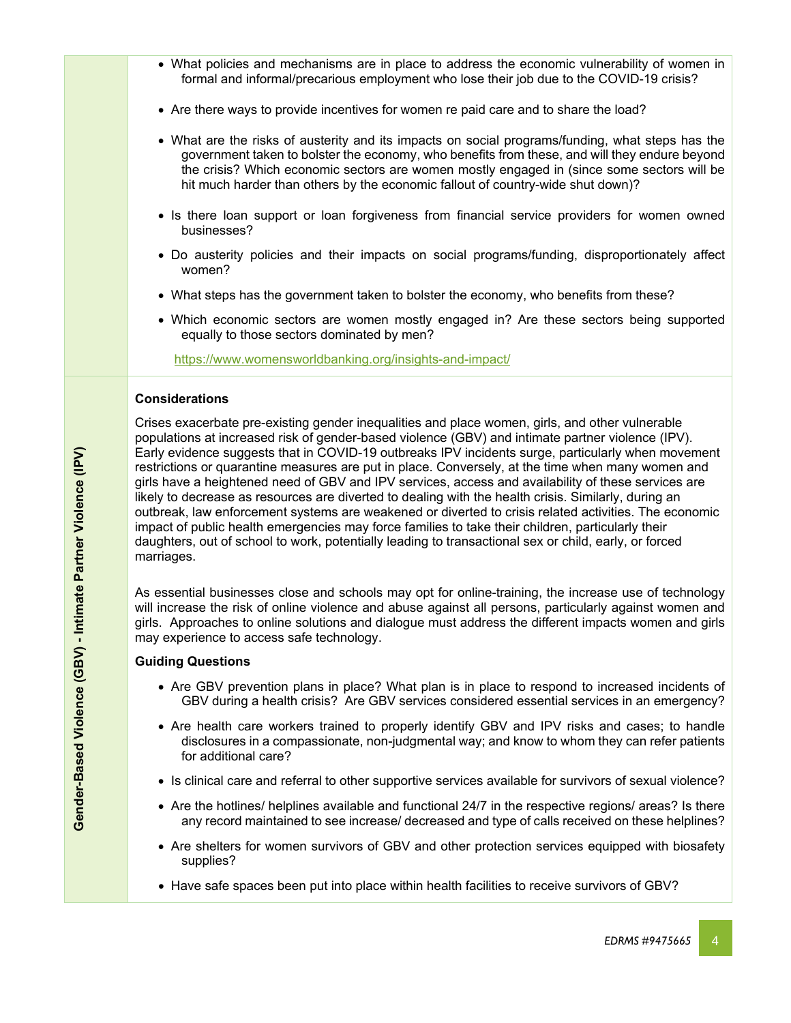- What policies and mechanisms are in place to address the economic vulnerability of women in formal and informal/precarious employment who lose their job due to the COVID-19 crisis?
- Are there ways to provide incentives for women re paid care and to share the load?
- What are the risks of austerity and its impacts on social programs/funding, what steps has the government taken to bolster the economy, who benefits from these, and will they endure beyond the crisis? Which economic sectors are women mostly engaged in (since some sectors will be hit much harder than others by the economic fallout of country-wide shut down)?
- Is there loan support or loan forgiveness from financial service providers for women owned businesses?
- Do austerity policies and their impacts on social programs/funding, disproportionately affect women?
- What steps has the government taken to bolster the economy, who benefits from these?
- Which economic sectors are women mostly engaged in? Are these sectors being supported equally to those sectors dominated by men?

<https://www.womensworldbanking.org/insights-and-impact/>

## **Considerations**

Crises exacerbate pre-existing gender inequalities and place women, girls, and other vulnerable populations at increased risk of gender-based violence (GBV) and intimate partner violence (IPV). Early evidence suggests that in COVID-19 outbreaks IPV incidents surge, particularly when movement restrictions or quarantine measures are put in place. Conversely, at the time when many women and girls have a heightened need of GBV and IPV services, access and availability of these services are likely to decrease as resources are diverted to dealing with the health crisis. Similarly, during an outbreak, law enforcement systems are weakened or diverted to crisis related activities. The economic impact of public health emergencies may force families to take their children, particularly their daughters, out of school to work, potentially leading to transactional sex or child, early, or forced marriages.

As essential businesses close and schools may opt for online-training, the increase use of technology will increase the risk of online violence and abuse against all persons, particularly against women and girls. Approaches to online solutions and dialogue must address the different impacts women and girls may experience to access safe technology.

## **Guiding Questions**

- Are GBV prevention plans in place? What plan is in place to respond to increased incidents of GBV during a health crisis? Are GBV services considered essential services in an emergency?
- Are health care workers trained to properly identify GBV and IPV risks and cases; to handle disclosures in a compassionate, non-judgmental way; and know to whom they can refer patients for additional care?
- Is clinical care and referral to other supportive services available for survivors of sexual violence?
- Are the hotlines/ helplines available and functional 24/7 in the respective regions/ areas? Is there any record maintained to see increase/ decreased and type of calls received on these helplines?
- Are shelters for women survivors of GBV and other protection services equipped with biosafety supplies?
- Have safe spaces been put into place within health facilities to receive survivors of GBV?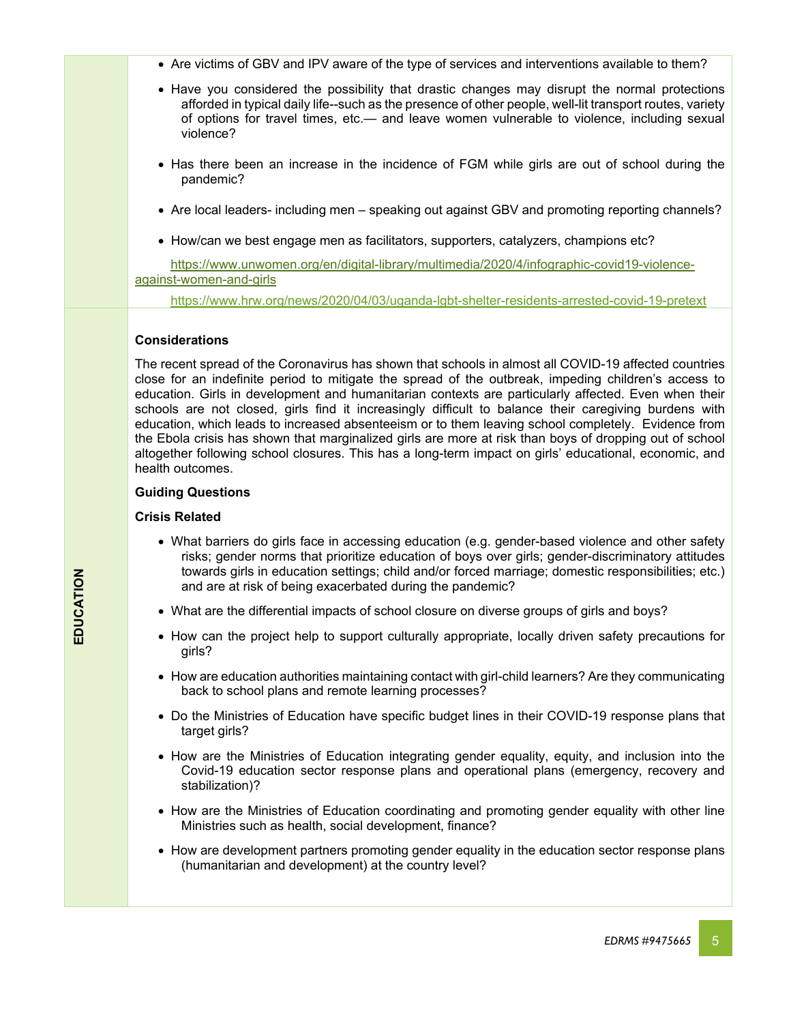- Are victims of GBV and IPV aware of the type of services and interventions available to them?
- Have you considered the possibility that drastic changes may disrupt the normal protections afforded in typical daily life--such as the presence of other people, well-lit transport routes, variety of options for travel times, etc.— and leave women vulnerable to violence, including sexual violence?
- Has there been an increase in the incidence of FGM while girls are out of school during the pandemic?
- Are local leaders- including men speaking out against GBV and promoting reporting channels?
- How/can we best engage men as facilitators, supporters, catalyzers, champions etc?

 [https://www.unwomen.org/en/digital-library/multimedia/2020/4/infographic-covid19-violence](https://www.unwomen.org/en/digital-library/multimedia/2020/4/infographic-covid19-violence-%20%20%20%20%20%20against-women-and-girls)[against-women-and-girls](https://www.unwomen.org/en/digital-library/multimedia/2020/4/infographic-covid19-violence-%20%20%20%20%20%20against-women-and-girls)

<https://www.hrw.org/news/2020/04/03/uganda-lgbt-shelter-residents-arrested-covid-19-pretext>

## **Considerations**

The recent spread of the Coronavirus has shown that schools in almost all COVID-19 affected countries close for an indefinite period to mitigate the spread of the outbreak, impeding children's access to education. Girls in development and humanitarian contexts are particularly affected. Even when their schools are not closed, girls find it increasingly difficult to balance their caregiving burdens with education, which leads to increased absenteeism or to them leaving school completely. Evidence from the Ebola crisis has shown that marginalized girls are more at risk than boys of dropping out of school altogether following school closures. This has a long-term impact on girls' educational, economic, and health outcomes.

#### **Guiding Questions**

#### **Crisis Related**

- What barriers do girls face in accessing education (e.g. gender-based violence and other safety risks; gender norms that prioritize education of boys over girls; gender-discriminatory attitudes towards girls in education settings; child and/or forced marriage; domestic responsibilities; etc.) and are at risk of being exacerbated during the pandemic?
- What are the differential impacts of school closure on diverse groups of girls and boys?
- How can the project help to support culturally appropriate, locally driven safety precautions for girls?
- How are education authorities maintaining contact with girl-child learners? Are they communicating back to school plans and remote learning processes?
- Do the Ministries of Education have specific budget lines in their COVID-19 response plans that target girls?
- How are the Ministries of Education integrating gender equality, equity, and inclusion into the Covid-19 education sector response plans and operational plans (emergency, recovery and stabilization)?
- How are the Ministries of Education coordinating and promoting gender equality with other line Ministries such as health, social development, finance?
- How are development partners promoting gender equality in the education sector response plans (humanitarian and development) at the country level?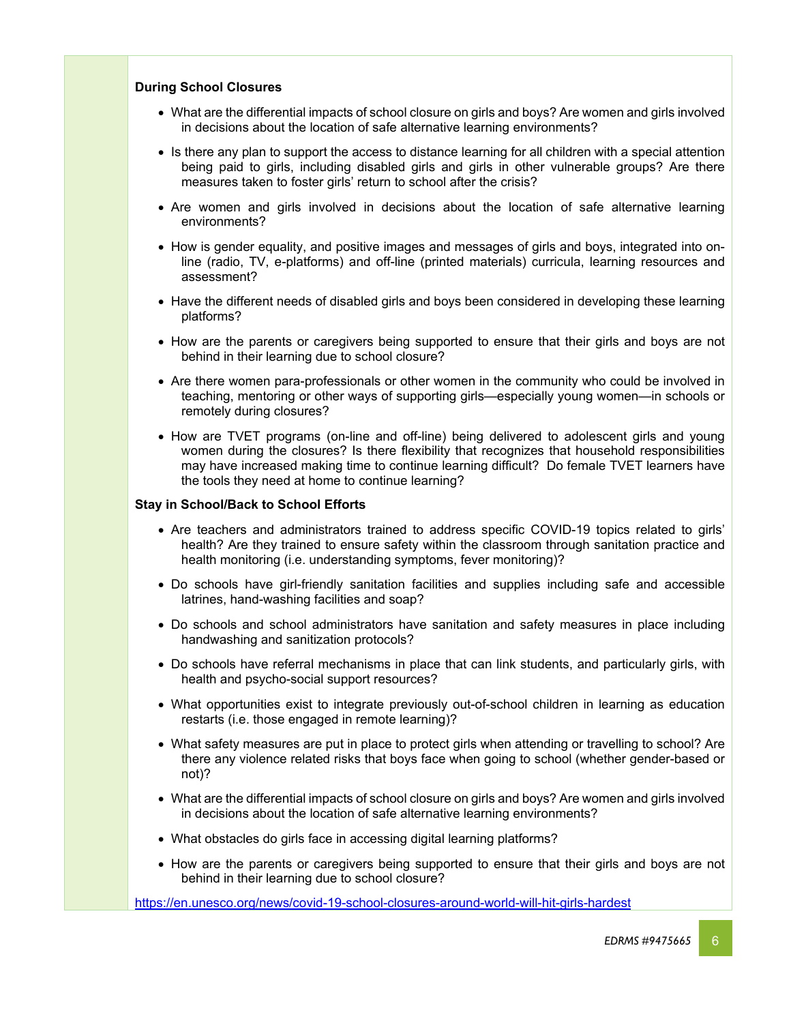#### **During School Closures**

- What are the differential impacts of school closure on girls and boys? Are women and girls involved in decisions about the location of safe alternative learning environments?
- Is there any plan to support the access to distance learning for all children with a special attention being paid to girls, including disabled girls and girls in other vulnerable groups? Are there measures taken to foster girls' return to school after the crisis?
- Are women and girls involved in decisions about the location of safe alternative learning environments?
- How is gender equality, and positive images and messages of girls and boys, integrated into online (radio, TV, e-platforms) and off-line (printed materials) curricula, learning resources and assessment?
- Have the different needs of disabled girls and boys been considered in developing these learning platforms?
- How are the parents or caregivers being supported to ensure that their girls and boys are not behind in their learning due to school closure?
- Are there women para-professionals or other women in the community who could be involved in teaching, mentoring or other ways of supporting girls—especially young women—in schools or remotely during closures?
- How are TVET programs (on-line and off-line) being delivered to adolescent girls and young women during the closures? Is there flexibility that recognizes that household responsibilities may have increased making time to continue learning difficult? Do female TVET learners have the tools they need at home to continue learning?

#### **Stay in School/Back to School Efforts**

- Are teachers and administrators trained to address specific COVID-19 topics related to girls' health? Are they trained to ensure safety within the classroom through sanitation practice and health monitoring (i.e. understanding symptoms, fever monitoring)?
- Do schools have girl-friendly sanitation facilities and supplies including safe and accessible latrines, hand-washing facilities and soap?
- Do schools and school administrators have sanitation and safety measures in place including handwashing and sanitization protocols?
- Do schools have referral mechanisms in place that can link students, and particularly girls, with health and psycho-social support resources?
- What opportunities exist to integrate previously out-of-school children in learning as education restarts (i.e. those engaged in remote learning)?
- What safety measures are put in place to protect girls when attending or travelling to school? Are there any violence related risks that boys face when going to school (whether gender-based or not)?
- What are the differential impacts of school closure on girls and boys? Are women and girls involved in decisions about the location of safe alternative learning environments?
- What obstacles do girls face in accessing digital learning platforms?
- How are the parents or caregivers being supported to ensure that their girls and boys are not behind in their learning due to school closure?

<https://en.unesco.org/news/covid-19-school-closures-around-world-will-hit-girls-hardest>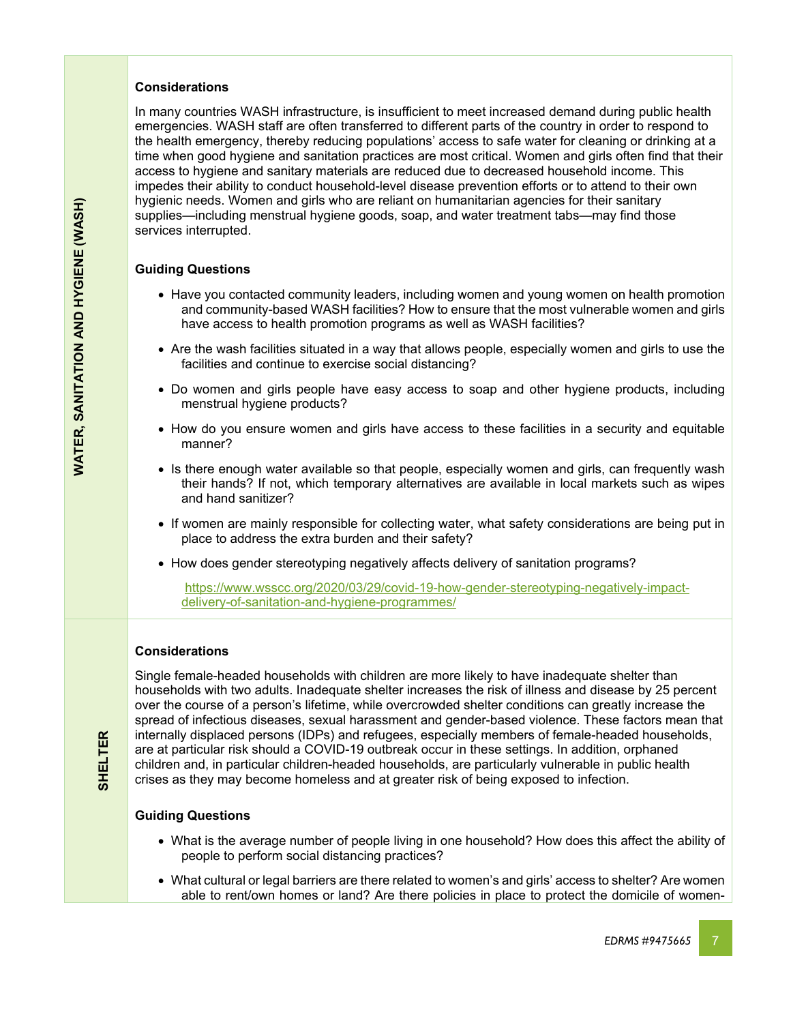## **Considerations**

In many countries WASH infrastructure, is insufficient to meet increased demand during public health emergencies. WASH staff are often transferred to different parts of the country in order to respond to the health emergency, thereby reducing populations' access to safe water for cleaning or drinking at a time when good hygiene and sanitation practices are most critical. Women and girls often find that their access to hygiene and sanitary materials are reduced due to decreased household income. This impedes their ability to conduct household-level disease prevention efforts or to attend to their own hygienic needs. Women and girls who are reliant on humanitarian agencies for their sanitary supplies—including menstrual hygiene goods, soap, and water treatment tabs—may find those services interrupted.

## **Guiding Questions**

- Have you contacted community leaders, including women and young women on health promotion and community-based WASH facilities? How to ensure that the most vulnerable women and girls have access to health promotion programs as well as WASH facilities?
- Are the wash facilities situated in a way that allows people, especially women and girls to use the facilities and continue to exercise social distancing?
- Do women and girls people have easy access to soap and other hygiene products, including menstrual hygiene products?
- How do you ensure women and girls have access to these facilities in a security and equitable manner?
- Is there enough water available so that people, especially women and girls, can frequently wash their hands? If not, which temporary alternatives are available in local markets such as wipes and hand sanitizer?
- If women are mainly responsible for collecting water, what safety considerations are being put in place to address the extra burden and their safety?
- How does gender stereotyping negatively affects delivery of sanitation programs?

[https://www.wsscc.org/2020/03/29/covid-19-how-gender-stereotyping-negatively-impact](https://www.wsscc.org/2020/03/29/covid-19-how-gender-stereotyping-negatively-impact-delivery-of-sanitation-and-hygiene-programmes/)[delivery-of-sanitation-and-hygiene-programmes/](https://www.wsscc.org/2020/03/29/covid-19-how-gender-stereotyping-negatively-impact-delivery-of-sanitation-and-hygiene-programmes/)

## **Considerations**

Single female-headed households with children are more likely to have inadequate shelter than households with two adults. Inadequate shelter increases the risk of illness and disease by 25 percent over the course of a person's lifetime, while overcrowded shelter conditions can greatly increase the spread of infectious diseases, sexual harassment and gender-based violence. These factors mean that internally displaced persons (IDPs) and refugees, especially members of female-headed households, are at particular risk should a COVID-19 outbreak occur in these settings. In addition, orphaned children and, in particular children-headed households, are particularly vulnerable in public health crises as they may become homeless and at greater risk of being exposed to infection.

## **Guiding Questions**

**SHELTER**

**SHELTER** 

- What is the average number of people living in one household? How does this affect the ability of people to perform social distancing practices?
- What cultural or legal barriers are there related to women's and girls' access to shelter? Are women able to rent/own homes or land? Are there policies in place to protect the domicile of women-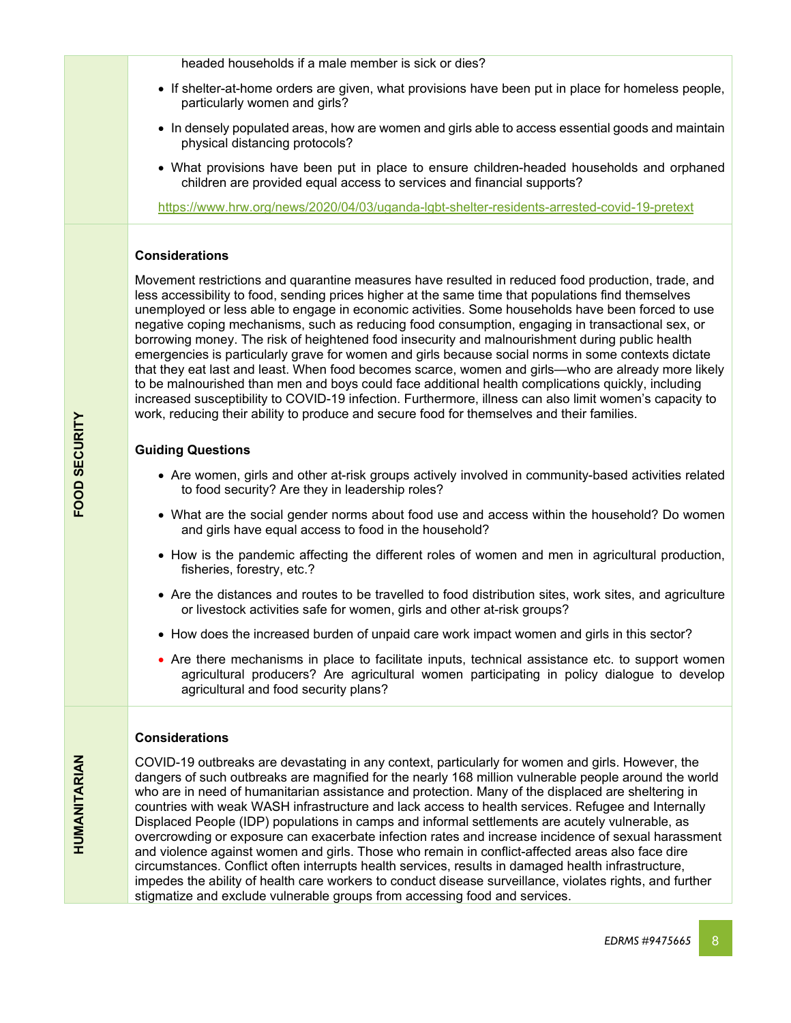headed households if a male member is sick or dies?

- If shelter-at-home orders are given, what provisions have been put in place for homeless people, particularly women and girls?
- In densely populated areas, how are women and girls able to access essential goods and maintain physical distancing protocols?
- What provisions have been put in place to ensure children-headed households and orphaned children are provided equal access to services and financial supports?

<https://www.hrw.org/news/2020/04/03/uganda-lgbt-shelter-residents-arrested-covid-19-pretext>

## **Considerations**

Movement restrictions and quarantine measures have resulted in reduced food production, trade, and less accessibility to food, sending prices higher at the same time that populations find themselves unemployed or less able to engage in economic activities. Some households have been forced to use negative coping mechanisms, such as reducing food consumption, engaging in transactional sex, or borrowing money. The risk of heightened food insecurity and malnourishment during public health emergencies is particularly grave for women and girls because social norms in some contexts dictate that they eat last and least. When food becomes scarce, women and girls—who are already more likely to be malnourished than men and boys could face additional health complications quickly, including increased susceptibility to COVID-19 infection. Furthermore, illness can also limit women's capacity to work, reducing their ability to produce and secure food for themselves and their families.

## **Guiding Questions**

- Are women, girls and other at-risk groups actively involved in community-based activities related to food security? Are they in leadership roles?
- What are the social gender norms about food use and access within the household? Do women and girls have equal access to food in the household?
- How is the pandemic affecting the different roles of women and men in agricultural production, fisheries, forestry, etc.?
- Are the distances and routes to be travelled to food distribution sites, work sites, and agriculture or livestock activities safe for women, girls and other at-risk groups?
- How does the increased burden of unpaid care work impact women and girls in this sector?
- Are there mechanisms in place to facilitate inputs, technical assistance etc. to support women agricultural producers? Are agricultural women participating in policy dialogue to develop agricultural and food security plans?

## **Considerations**

COVID-19 outbreaks are devastating in any context, particularly for women and girls. However, the dangers of such outbreaks are magnified for the nearly 168 million vulnerable people around the world who are in need of humanitarian assistance and protection. Many of the displaced are sheltering in countries with weak WASH infrastructure and lack access to health services. Refugee and Internally Displaced People (IDP) populations in camps and informal settlements are acutely vulnerable, as overcrowding or exposure can exacerbate infection rates and increase incidence of sexual harassment and violence against women and girls. Those who remain in conflict-affected areas also face dire circumstances. Conflict often interrupts health services, results in damaged health infrastructure, impedes the ability of health care workers to conduct disease surveillance, violates rights, and further stigmatize and exclude vulnerable groups from accessing food and services.

**HUMANITARIAN**

HUMANITARIAN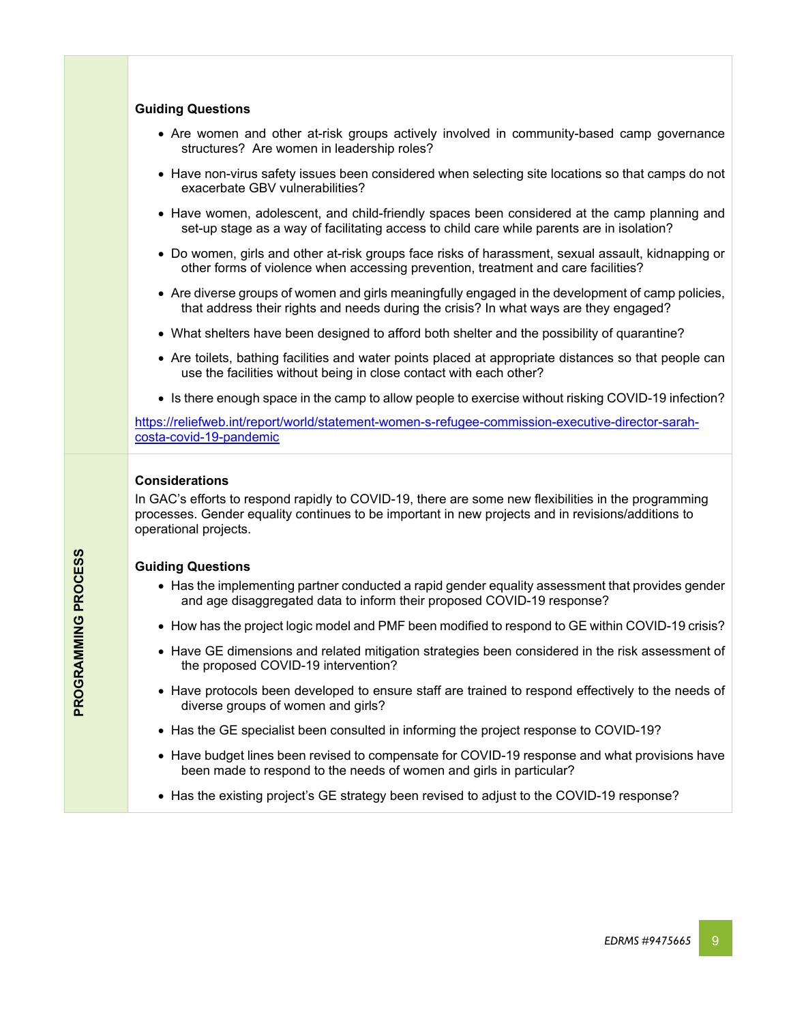## **Guiding Questions**

- Are women and other at-risk groups actively involved in community-based camp governance structures? Are women in leadership roles?
- Have non-virus safety issues been considered when selecting site locations so that camps do not exacerbate GBV vulnerabilities?
- Have women, adolescent, and child-friendly spaces been considered at the camp planning and set-up stage as a way of facilitating access to child care while parents are in isolation?
- Do women, girls and other at-risk groups face risks of harassment, sexual assault, kidnapping or other forms of violence when accessing prevention, treatment and care facilities?
- Are diverse groups of women and girls meaningfully engaged in the development of camp policies, that address their rights and needs during the crisis? In what ways are they engaged?
- What shelters have been designed to afford both shelter and the possibility of quarantine?
- Are toilets, bathing facilities and water points placed at appropriate distances so that people can use the facilities without being in close contact with each other?
- Is there enough space in the camp to allow people to exercise without risking COVID-19 infection?

[https://reliefweb.int/report/world/statement-women-s-refugee-commission-executive-director-sarah](https://reliefweb.int/report/world/statement-women-s-refugee-commission-executive-director-sarah-costa-covid-19-pandemic)[costa-covid-19-pandemic](https://reliefweb.int/report/world/statement-women-s-refugee-commission-executive-director-sarah-costa-covid-19-pandemic)

#### **Considerations**

In GAC's efforts to respond rapidly to COVID-19, there are some new flexibilities in the programming processes. Gender equality continues to be important in new projects and in revisions/additions to operational projects.

## **Guiding Questions**

- Has the implementing partner conducted a rapid gender equality assessment that provides gender and age disaggregated data to inform their proposed COVID-19 response?
- How has the project logic model and PMF been modified to respond to GE within COVID-19 crisis?
- Have GE dimensions and related mitigation strategies been considered in the risk assessment of the proposed COVID-19 intervention?
- Have protocols been developed to ensure staff are trained to respond effectively to the needs of diverse groups of women and girls?
- Has the GE specialist been consulted in informing the project response to COVID-19?
- Have budget lines been revised to compensate for COVID-19 response and what provisions have been made to respond to the needs of women and girls in particular?
- Has the existing project's GE strategy been revised to adjust to the COVID-19 response?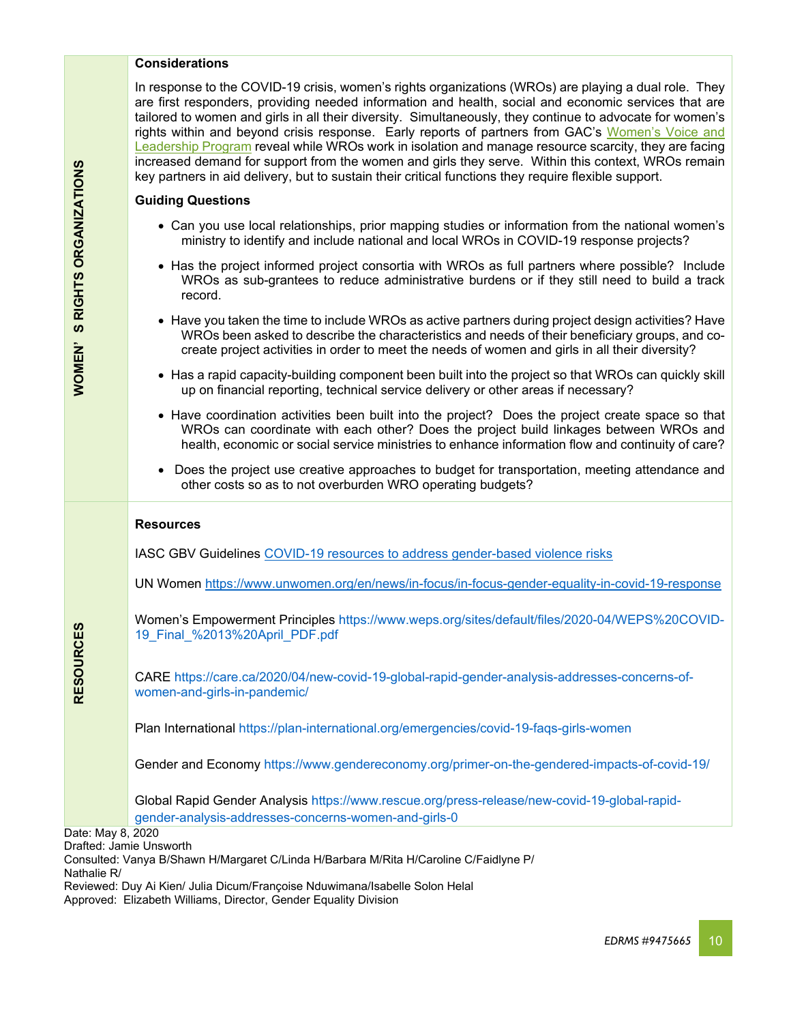## **Considerations**

In response to the COVID-19 crisis, women's rights organizations (WROs) are playing a dual role. They are first responders, providing needed information and health, social and economic services that are tailored to women and girls in all their diversity. Simultaneously, they continue to advocate for women's rights within and beyond crisis response. Early reports of partners from GAC's [Women's Voice and](https://www.international.gc.ca/world-monde/issues_development-enjeux_developpement/gender_equality-egalite_des_genres/wvl_projects-projets_vlf.aspx?lang=eng)  [Leadership Program](https://www.international.gc.ca/world-monde/issues_development-enjeux_developpement/gender_equality-egalite_des_genres/wvl_projects-projets_vlf.aspx?lang=eng) reveal while WROs work in isolation and manage resource scarcity, they are facing increased demand for support from the women and girls they serve. Within this context, WROs remain key partners in aid delivery, but to sustain their critical functions they require flexible support.

#### **Guiding Questions**

- Can you use local relationships, prior mapping studies or information from the national women's ministry to identify and include national and local WROs in COVID-19 response projects?
- Has the project informed project consortia with WROs as full partners where possible? Include WROs as sub-grantees to reduce administrative burdens or if they still need to build a track record.
- Have you taken the time to include WROs as active partners during project design activities? Have WROs been asked to describe the characteristics and needs of their beneficiary groups, and cocreate project activities in order to meet the needs of women and girls in all their diversity?
- Has a rapid capacity-building component been built into the project so that WROs can quickly skill up on financial reporting, technical service delivery or other areas if necessary?
- Have coordination activities been built into the project? Does the project create space so that WROs can coordinate with each other? Does the project build linkages between WROs and health, economic or social service ministries to enhance information flow and continuity of care?
- Does the project use creative approaches to budget for transportation, meeting attendance and other costs so as to not overburden WRO operating budgets?

|                   | <b>Resources</b>                                                                                                                |
|-------------------|---------------------------------------------------------------------------------------------------------------------------------|
|                   | IASC GBV Guidelines COVID-19 resources to address gender-based violence risks                                                   |
|                   | UN Women https://www.unwomen.org/en/news/in-focus/in-focus-gender-equality-in-covid-19-response                                 |
|                   | Women's Empowerment Principles https://www.weps.org/sites/default/files/2020-04/WEPS%20COVID-<br>19 Final %2013%20April PDF.pdf |
| <b>RESOURCES</b>  | CARE https://care.ca/2020/04/new-covid-19-global-rapid-gender-analysis-addresses-concerns-of-<br>women-and-girls-in-pandemic/   |
|                   | Plan International https://plan-international.org/emergencies/covid-19-faqs-girls-women                                         |
|                   | Gender and Economy https://www.gendereconomy.org/primer-on-the-gendered-impacts-of-covid-19/                                    |
|                   | Global Rapid Gender Analysis https://www.rescue.org/press-release/new-covid-19-global-rapid-                                    |
|                   | gender-analysis-addresses-concerns-women-and-girls-0                                                                            |
| Date: May 8, 2020 |                                                                                                                                 |
|                   | Drafted: Jamie Unsworth                                                                                                         |

Consulted: Vanya B/Shawn H/Margaret C/Linda H/Barbara M/Rita H/Caroline C/Faidlyne P/ Nathalie R/

Reviewed: Duy Ai Kien/ Julia Dicum/Françoise Nduwimana/Isabelle Solon Helal

Approved: Elizabeth Williams, Director, Gender Equality Division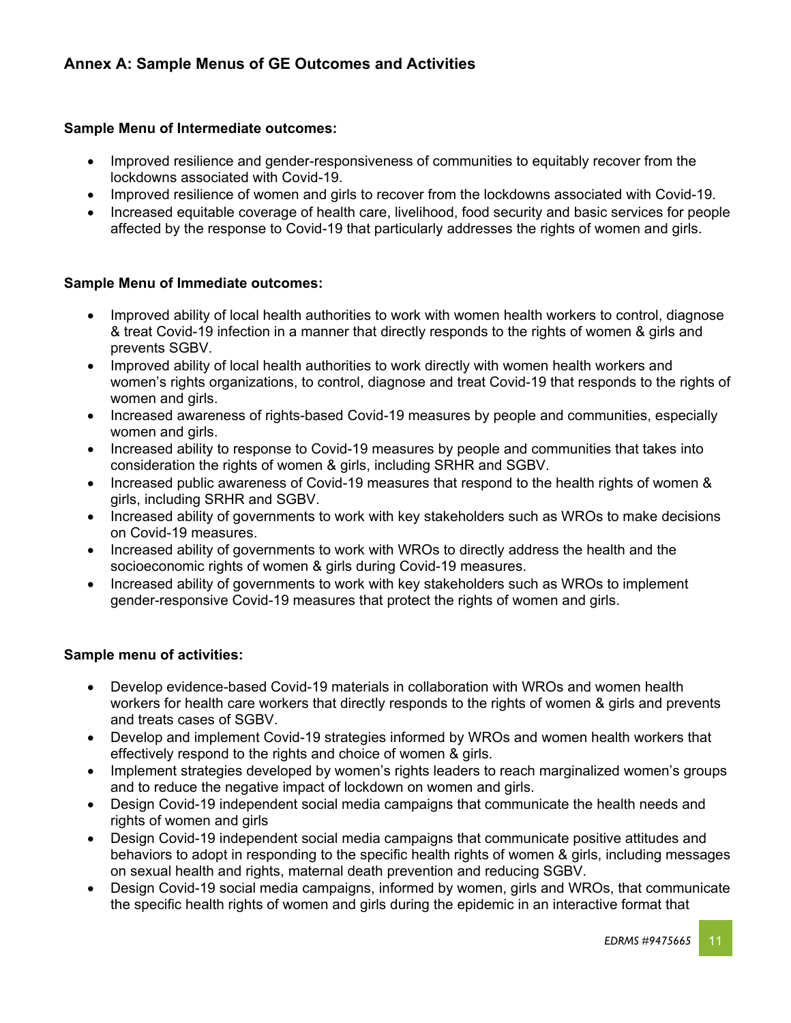# **Sample Menu of Intermediate outcomes:**

- Improved resilience and gender-responsiveness of communities to equitably recover from the lockdowns associated with Covid-19.
- Improved resilience of women and girls to recover from the lockdowns associated with Covid-19.
- Increased equitable coverage of health care, livelihood, food security and basic services for people affected by the response to Covid-19 that particularly addresses the rights of women and girls.

# **Sample Menu of Immediate outcomes:**

- Improved ability of local health authorities to work with women health workers to control, diagnose & treat Covid-19 infection in a manner that directly responds to the rights of women & girls and prevents SGBV.
- Improved ability of local health authorities to work directly with women health workers and women's rights organizations, to control, diagnose and treat Covid-19 that responds to the rights of women and girls.
- Increased awareness of rights-based Covid-19 measures by people and communities, especially women and girls.
- Increased ability to response to Covid-19 measures by people and communities that takes into consideration the rights of women & girls, including SRHR and SGBV.
- Increased public awareness of Covid-19 measures that respond to the health rights of women & girls, including SRHR and SGBV.
- Increased ability of governments to work with key stakeholders such as WROs to make decisions on Covid-19 measures.
- Increased ability of governments to work with WROs to directly address the health and the socioeconomic rights of women & girls during Covid-19 measures.
- Increased ability of governments to work with key stakeholders such as WROs to implement gender-responsive Covid-19 measures that protect the rights of women and girls.

# **Sample menu of activities:**

- Develop evidence-based Covid-19 materials in collaboration with WROs and women health workers for health care workers that directly responds to the rights of women & girls and prevents and treats cases of SGBV.
- Develop and implement Covid-19 strategies informed by WROs and women health workers that effectively respond to the rights and choice of women & girls.
- Implement strategies developed by women's rights leaders to reach marginalized women's groups and to reduce the negative impact of lockdown on women and girls.
- Design Covid-19 independent social media campaigns that communicate the health needs and rights of women and girls
- Design Covid-19 independent social media campaigns that communicate positive attitudes and behaviors to adopt in responding to the specific health rights of women & girls, including messages on sexual health and rights, maternal death prevention and reducing SGBV.
- Design Covid-19 social media campaigns, informed by women, girls and WROs, that communicate the specific health rights of women and girls during the epidemic in an interactive format that